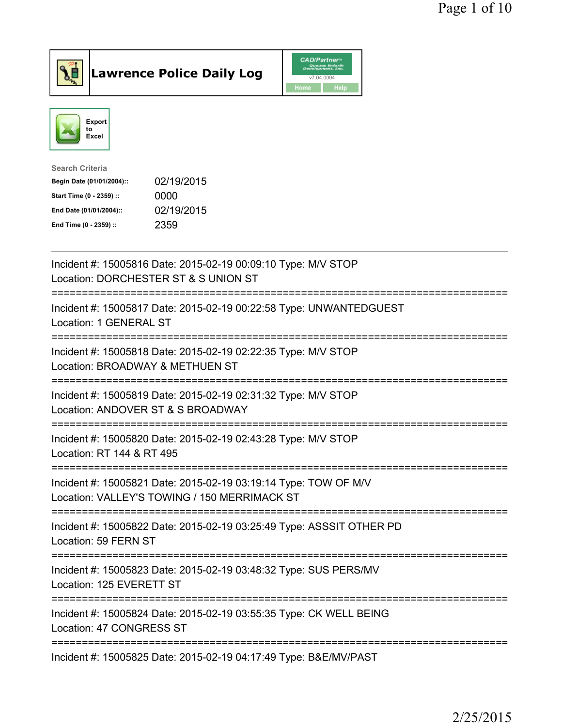



| <b>Search Criteria</b>    |            |
|---------------------------|------------|
| Begin Date (01/01/2004):: | 02/19/2015 |
| Start Time (0 - 2359) ::  | 0000       |
| End Date (01/01/2004)::   | 02/19/2015 |
| End Time (0 - 2359) ::    | 2359       |
|                           |            |

| Incident #: 15005816 Date: 2015-02-19 00:09:10 Type: M/V STOP<br>Location: DORCHESTER ST & S UNION ST                |
|----------------------------------------------------------------------------------------------------------------------|
| Incident #: 15005817 Date: 2015-02-19 00:22:58 Type: UNWANTEDGUEST<br>Location: 1 GENERAL ST                         |
| Incident #: 15005818 Date: 2015-02-19 02:22:35 Type: M/V STOP<br>Location: BROADWAY & METHUEN ST                     |
| Incident #: 15005819 Date: 2015-02-19 02:31:32 Type: M/V STOP<br>Location: ANDOVER ST & S BROADWAY                   |
| Incident #: 15005820 Date: 2015-02-19 02:43:28 Type: M/V STOP<br>Location: RT 144 & RT 495<br>------------------     |
| Incident #: 15005821 Date: 2015-02-19 03:19:14 Type: TOW OF M/V<br>Location: VALLEY'S TOWING / 150 MERRIMACK ST      |
| Incident #: 15005822 Date: 2015-02-19 03:25:49 Type: ASSSIT OTHER PD<br>Location: 59 FERN ST<br>---------------      |
| Incident #: 15005823 Date: 2015-02-19 03:48:32 Type: SUS PERS/MV<br>Location: 125 EVERETT ST<br>-------------------- |
| Incident #: 15005824 Date: 2015-02-19 03:55:35 Type: CK WELL BEING<br>Location: 47 CONGRESS ST                       |
| Incident #: 15005825 Date: 2015-02-19 04:17:49 Type: B&E/MV/PAST                                                     |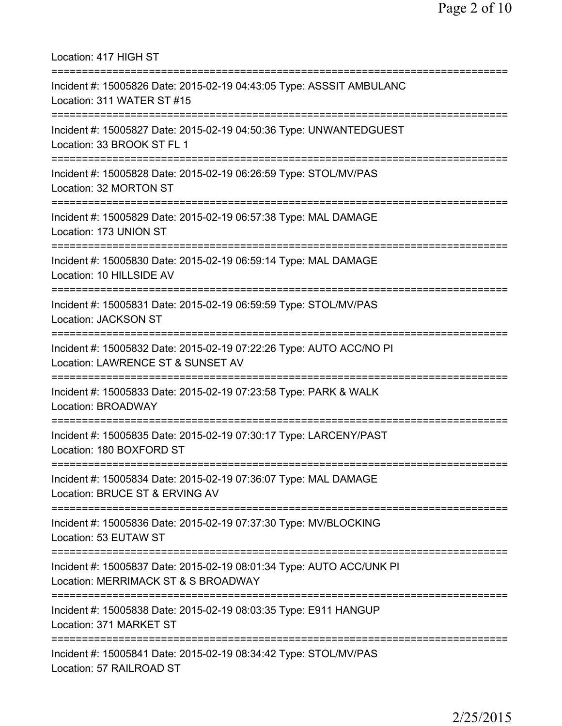Location: 417 HIGH ST =========================================================================== Incident #: 15005826 Date: 2015-02-19 04:43:05 Type: ASSSIT AMBULANC Location: 311 WATER ST #15 =========================================================================== Incident #: 15005827 Date: 2015-02-19 04:50:36 Type: UNWANTEDGUEST Location: 33 BROOK ST FL 1 =========================================================================== Incident #: 15005828 Date: 2015-02-19 06:26:59 Type: STOL/MV/PAS Location: 32 MORTON ST =========================================================================== Incident #: 15005829 Date: 2015-02-19 06:57:38 Type: MAL DAMAGE Location: 173 UNION ST =========================================================================== Incident #: 15005830 Date: 2015-02-19 06:59:14 Type: MAL DAMAGE Location: 10 HILLSIDE AV =========================================================================== Incident #: 15005831 Date: 2015-02-19 06:59:59 Type: STOL/MV/PAS Location: JACKSON ST =========================================================================== Incident #: 15005832 Date: 2015-02-19 07:22:26 Type: AUTO ACC/NO PI Location: LAWRENCE ST & SUNSET AV =========================================================================== Incident #: 15005833 Date: 2015-02-19 07:23:58 Type: PARK & WALK Location: BROADWAY =========================================================================== Incident #: 15005835 Date: 2015-02-19 07:30:17 Type: LARCENY/PAST Location: 180 BOXFORD ST =========================================================================== Incident #: 15005834 Date: 2015-02-19 07:36:07 Type: MAL DAMAGE Location: BRUCE ST & ERVING AV =========================================================================== Incident #: 15005836 Date: 2015-02-19 07:37:30 Type: MV/BLOCKING Location: 53 EUTAW ST =========================================================================== Incident #: 15005837 Date: 2015-02-19 08:01:34 Type: AUTO ACC/UNK PI Location: MERRIMACK ST & S BROADWAY =========================================================================== Incident #: 15005838 Date: 2015-02-19 08:03:35 Type: E911 HANGUP Location: 371 MARKET ST =========================================================================== Incident #: 15005841 Date: 2015-02-19 08:34:42 Type: STOL/MV/PAS Location: 57 RAILROAD ST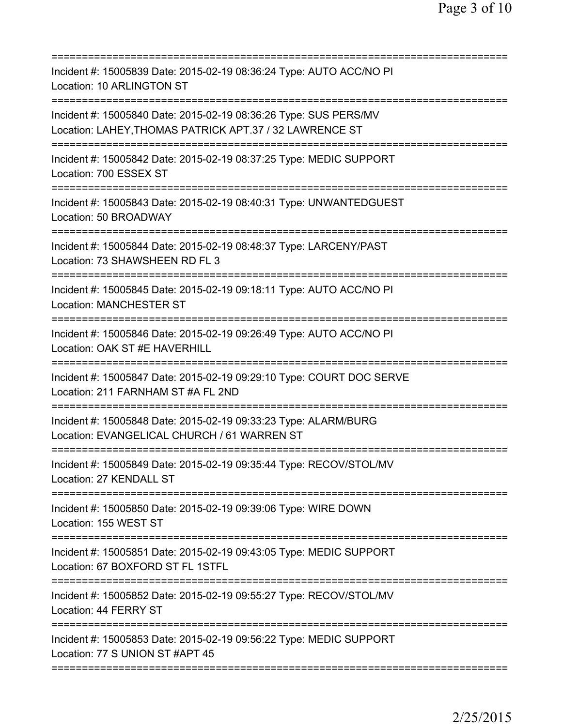| Incident #: 15005839 Date: 2015-02-19 08:36:24 Type: AUTO ACC/NO PI<br>Location: 10 ARLINGTON ST<br>====================    |
|-----------------------------------------------------------------------------------------------------------------------------|
| Incident #: 15005840 Date: 2015-02-19 08:36:26 Type: SUS PERS/MV<br>Location: LAHEY, THOMAS PATRICK APT.37 / 32 LAWRENCE ST |
| Incident #: 15005842 Date: 2015-02-19 08:37:25 Type: MEDIC SUPPORT<br>Location: 700 ESSEX ST                                |
| Incident #: 15005843 Date: 2015-02-19 08:40:31 Type: UNWANTEDGUEST<br>Location: 50 BROADWAY                                 |
| Incident #: 15005844 Date: 2015-02-19 08:48:37 Type: LARCENY/PAST<br>Location: 73 SHAWSHEEN RD FL 3                         |
| Incident #: 15005845 Date: 2015-02-19 09:18:11 Type: AUTO ACC/NO PI<br><b>Location: MANCHESTER ST</b>                       |
| Incident #: 15005846 Date: 2015-02-19 09:26:49 Type: AUTO ACC/NO PI<br>Location: OAK ST #E HAVERHILL                        |
| Incident #: 15005847 Date: 2015-02-19 09:29:10 Type: COURT DOC SERVE<br>Location: 211 FARNHAM ST #A FL 2ND                  |
| Incident #: 15005848 Date: 2015-02-19 09:33:23 Type: ALARM/BURG<br>Location: EVANGELICAL CHURCH / 61 WARREN ST              |
| Incident #: 15005849 Date: 2015-02-19 09:35:44 Type: RECOV/STOL/MV<br>Location: 27 KENDALL ST                               |
| Incident #: 15005850 Date: 2015-02-19 09:39:06 Type: WIRE DOWN<br>Location: 155 WEST ST                                     |
| Incident #: 15005851 Date: 2015-02-19 09:43:05 Type: MEDIC SUPPORT<br>Location: 67 BOXFORD ST FL 1STFL                      |
| Incident #: 15005852 Date: 2015-02-19 09:55:27 Type: RECOV/STOL/MV<br>Location: 44 FERRY ST                                 |
| Incident #: 15005853 Date: 2015-02-19 09:56:22 Type: MEDIC SUPPORT<br>Location: 77 S UNION ST #APT 45                       |
|                                                                                                                             |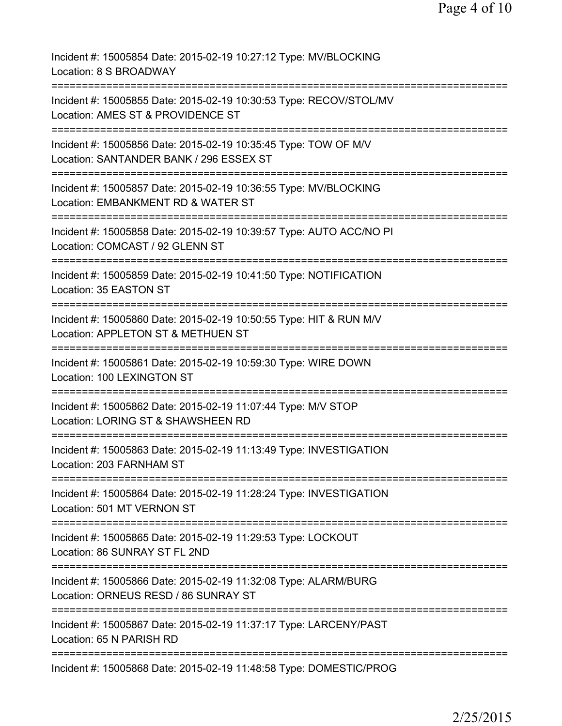Incident #: 15005854 Date: 2015-02-19 10:27:12 Type: MV/BLOCKING Location: 8 S BROADWAY =========================================================================== Incident #: 15005855 Date: 2015-02-19 10:30:53 Type: RECOV/STOL/MV Location: AMES ST & PROVIDENCE ST =========================================================================== Incident #: 15005856 Date: 2015-02-19 10:35:45 Type: TOW OF M/V Location: SANTANDER BANK / 296 ESSEX ST =========================================================================== Incident #: 15005857 Date: 2015-02-19 10:36:55 Type: MV/BLOCKING Location: EMBANKMENT RD & WATER ST =========================================================================== Incident #: 15005858 Date: 2015-02-19 10:39:57 Type: AUTO ACC/NO PI Location: COMCAST / 92 GLENN ST =========================================================================== Incident #: 15005859 Date: 2015-02-19 10:41:50 Type: NOTIFICATION Location: 35 EASTON ST =========================================================================== Incident #: 15005860 Date: 2015-02-19 10:50:55 Type: HIT & RUN M/V Location: APPLETON ST & METHUEN ST =========================================================================== Incident #: 15005861 Date: 2015-02-19 10:59:30 Type: WIRE DOWN Location: 100 LEXINGTON ST =========================================================================== Incident #: 15005862 Date: 2015-02-19 11:07:44 Type: M/V STOP Location: LORING ST & SHAWSHEEN RD =========================================================================== Incident #: 15005863 Date: 2015-02-19 11:13:49 Type: INVESTIGATION Location: 203 FARNHAM ST =========================================================================== Incident #: 15005864 Date: 2015-02-19 11:28:24 Type: INVESTIGATION Location: 501 MT VERNON ST =========================================================================== Incident #: 15005865 Date: 2015-02-19 11:29:53 Type: LOCKOUT Location: 86 SUNRAY ST FL 2ND =========================================================================== Incident #: 15005866 Date: 2015-02-19 11:32:08 Type: ALARM/BURG Location: ORNEUS RESD / 86 SUNRAY ST =========================================================================== Incident #: 15005867 Date: 2015-02-19 11:37:17 Type: LARCENY/PAST Location: 65 N PARISH RD =========================================================================== Incident #: 15005868 Date: 2015-02-19 11:48:58 Type: DOMESTIC/PROG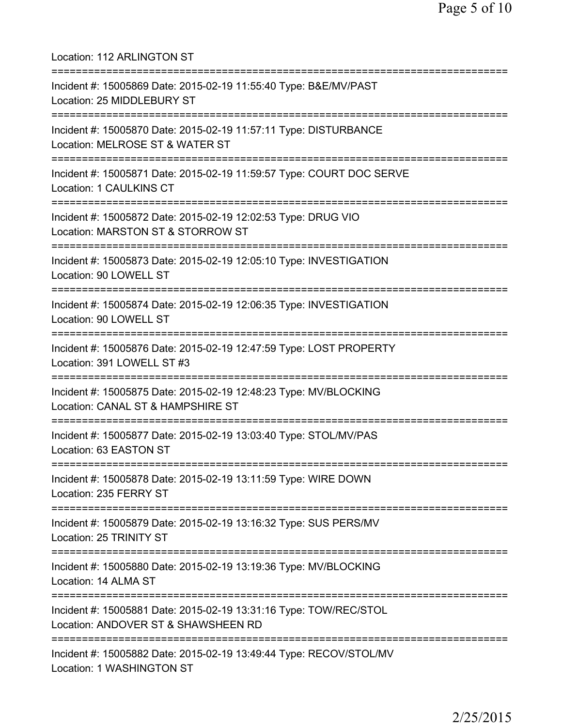Location: 112 ARLINGTON ST =========================================================================== Incident #: 15005869 Date: 2015-02-19 11:55:40 Type: B&E/MV/PAST Location: 25 MIDDLEBURY ST =========================================================================== Incident #: 15005870 Date: 2015-02-19 11:57:11 Type: DISTURBANCE Location: MELROSE ST & WATER ST =========================================================================== Incident #: 15005871 Date: 2015-02-19 11:59:57 Type: COURT DOC SERVE Location: 1 CAULKINS CT =========================================================================== Incident #: 15005872 Date: 2015-02-19 12:02:53 Type: DRUG VIO Location: MARSTON ST & STORROW ST =========================================================================== Incident #: 15005873 Date: 2015-02-19 12:05:10 Type: INVESTIGATION Location: 90 LOWELL ST =========================================================================== Incident #: 15005874 Date: 2015-02-19 12:06:35 Type: INVESTIGATION Location: 90 LOWELL ST =========================================================================== Incident #: 15005876 Date: 2015-02-19 12:47:59 Type: LOST PROPERTY Location: 391 LOWELL ST #3 =========================================================================== Incident #: 15005875 Date: 2015-02-19 12:48:23 Type: MV/BLOCKING Location: CANAL ST & HAMPSHIRE ST =========================================================================== Incident #: 15005877 Date: 2015-02-19 13:03:40 Type: STOL/MV/PAS Location: 63 EASTON ST =========================================================================== Incident #: 15005878 Date: 2015-02-19 13:11:59 Type: WIRE DOWN Location: 235 FERRY ST =========================================================================== Incident #: 15005879 Date: 2015-02-19 13:16:32 Type: SUS PERS/MV Location: 25 TRINITY ST =========================================================================== Incident #: 15005880 Date: 2015-02-19 13:19:36 Type: MV/BLOCKING Location: 14 ALMA ST =========================================================================== Incident #: 15005881 Date: 2015-02-19 13:31:16 Type: TOW/REC/STOL Location: ANDOVER ST & SHAWSHEEN RD =========================================================================== Incident #: 15005882 Date: 2015-02-19 13:49:44 Type: RECOV/STOL/MV Location: 1 WASHINGTON ST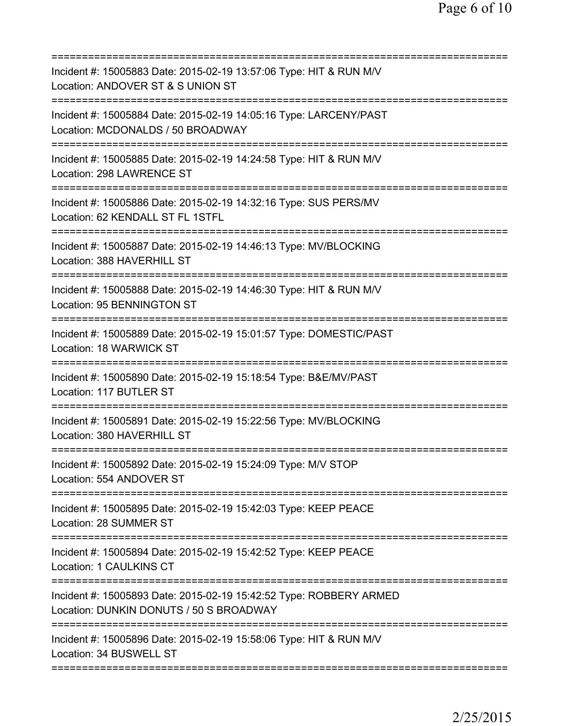| Incident #: 15005883 Date: 2015-02-19 13:57:06 Type: HIT & RUN M/V<br>Location: ANDOVER ST & S UNION ST                                                                     |
|-----------------------------------------------------------------------------------------------------------------------------------------------------------------------------|
| Incident #: 15005884 Date: 2015-02-19 14:05:16 Type: LARCENY/PAST<br>Location: MCDONALDS / 50 BROADWAY                                                                      |
| Incident #: 15005885 Date: 2015-02-19 14:24:58 Type: HIT & RUN M/V<br>Location: 298 LAWRENCE ST                                                                             |
| Incident #: 15005886 Date: 2015-02-19 14:32:16 Type: SUS PERS/MV<br>Location: 62 KENDALL ST FL 1STFL                                                                        |
| Incident #: 15005887 Date: 2015-02-19 14:46:13 Type: MV/BLOCKING<br>Location: 388 HAVERHILL ST                                                                              |
| ;====================================<br>Incident #: 15005888 Date: 2015-02-19 14:46:30 Type: HIT & RUN M/V<br>Location: 95 BENNINGTON ST                                   |
| =====================================<br>Incident #: 15005889 Date: 2015-02-19 15:01:57 Type: DOMESTIC/PAST<br>Location: 18 WARWICK ST<br>================================= |
| Incident #: 15005890 Date: 2015-02-19 15:18:54 Type: B&E/MV/PAST<br>Location: 117 BUTLER ST                                                                                 |
| Incident #: 15005891 Date: 2015-02-19 15:22:56 Type: MV/BLOCKING<br>Location: 380 HAVERHILL ST                                                                              |
| Incident #: 15005892 Date: 2015-02-19 15:24:09 Type: M/V STOP<br>Location: 554 ANDOVER ST                                                                                   |
| Incident #: 15005895 Date: 2015-02-19 15:42:03 Type: KEEP PEACE<br>Location: 28 SUMMER ST                                                                                   |
| Incident #: 15005894 Date: 2015-02-19 15:42:52 Type: KEEP PEACE<br>Location: 1 CAULKINS CT                                                                                  |
| Incident #: 15005893 Date: 2015-02-19 15:42:52 Type: ROBBERY ARMED<br>Location: DUNKIN DONUTS / 50 S BROADWAY                                                               |
| Incident #: 15005896 Date: 2015-02-19 15:58:06 Type: HIT & RUN M/V<br>Location: 34 BUSWELL ST                                                                               |
|                                                                                                                                                                             |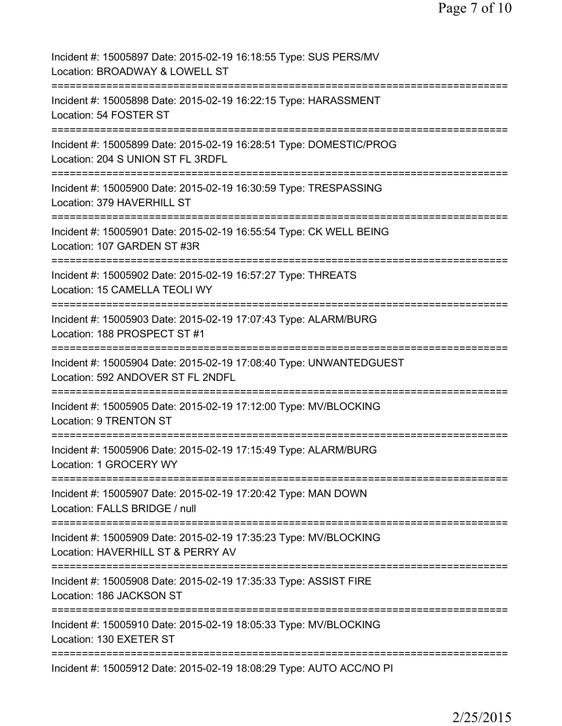| Incident #: 15005897 Date: 2015-02-19 16:18:55 Type: SUS PERS/MV<br>Location: BROADWAY & LOWELL ST                    |
|-----------------------------------------------------------------------------------------------------------------------|
| Incident #: 15005898 Date: 2015-02-19 16:22:15 Type: HARASSMENT<br>Location: 54 FOSTER ST                             |
| Incident #: 15005899 Date: 2015-02-19 16:28:51 Type: DOMESTIC/PROG<br>Location: 204 S UNION ST FL 3RDFL               |
| Incident #: 15005900 Date: 2015-02-19 16:30:59 Type: TRESPASSING<br>Location: 379 HAVERHILL ST                        |
| Incident #: 15005901 Date: 2015-02-19 16:55:54 Type: CK WELL BEING<br>Location: 107 GARDEN ST #3R                     |
| Incident #: 15005902 Date: 2015-02-19 16:57:27 Type: THREATS<br>Location: 15 CAMELLA TEOLI WY                         |
| Incident #: 15005903 Date: 2015-02-19 17:07:43 Type: ALARM/BURG<br>Location: 188 PROSPECT ST #1                       |
| Incident #: 15005904 Date: 2015-02-19 17:08:40 Type: UNWANTEDGUEST<br>Location: 592 ANDOVER ST FL 2NDFL               |
| Incident #: 15005905 Date: 2015-02-19 17:12:00 Type: MV/BLOCKING<br>Location: 9 TRENTON ST<br>----------------------- |
| Incident #: 15005906 Date: 2015-02-19 17:15:49 Type: ALARM/BURG<br>Location: 1 GROCERY WY                             |
| Incident #: 15005907 Date: 2015-02-19 17:20:42 Type: MAN DOWN<br>Location: FALLS BRIDGE / null                        |
| Incident #: 15005909 Date: 2015-02-19 17:35:23 Type: MV/BLOCKING<br>Location: HAVERHILL ST & PERRY AV                 |
| Incident #: 15005908 Date: 2015-02-19 17:35:33 Type: ASSIST FIRE<br>Location: 186 JACKSON ST                          |
| Incident #: 15005910 Date: 2015-02-19 18:05:33 Type: MV/BLOCKING<br>Location: 130 EXETER ST                           |
| Incident #: 15005912 Date: 2015-02-19 18:08:29 Type: AUTO ACC/NO PI                                                   |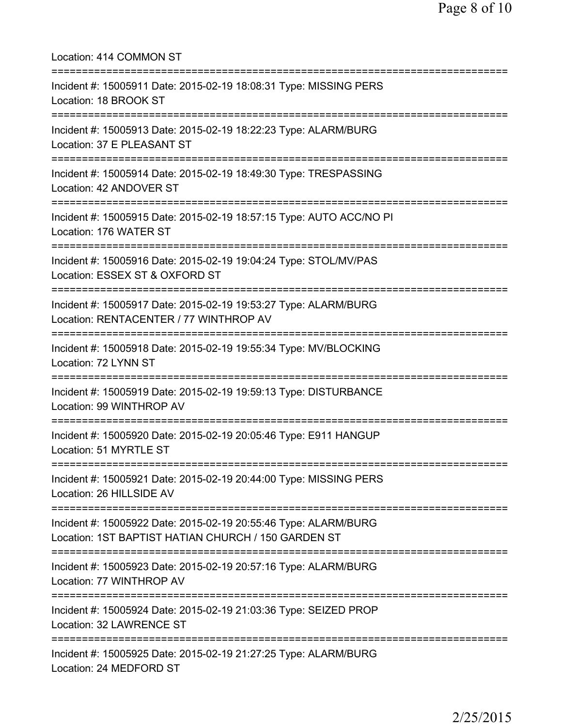| Location: 414 COMMON ST                                                                                                              |
|--------------------------------------------------------------------------------------------------------------------------------------|
| Incident #: 15005911 Date: 2015-02-19 18:08:31 Type: MISSING PERS<br>Location: 18 BROOK ST                                           |
| Incident #: 15005913 Date: 2015-02-19 18:22:23 Type: ALARM/BURG<br>Location: 37 E PLEASANT ST<br>======================              |
| Incident #: 15005914 Date: 2015-02-19 18:49:30 Type: TRESPASSING<br>Location: 42 ANDOVER ST                                          |
| Incident #: 15005915 Date: 2015-02-19 18:57:15 Type: AUTO ACC/NO PI<br>Location: 176 WATER ST                                        |
| Incident #: 15005916 Date: 2015-02-19 19:04:24 Type: STOL/MV/PAS<br>Location: ESSEX ST & OXFORD ST                                   |
| Incident #: 15005917 Date: 2015-02-19 19:53:27 Type: ALARM/BURG<br>Location: RENTACENTER / 77 WINTHROP AV                            |
| Incident #: 15005918 Date: 2015-02-19 19:55:34 Type: MV/BLOCKING<br>Location: 72 LYNN ST                                             |
| Incident #: 15005919 Date: 2015-02-19 19:59:13 Type: DISTURBANCE<br>Location: 99 WINTHROP AV                                         |
| Incident #: 15005920 Date: 2015-02-19 20:05:46 Type: E911 HANGUP<br>Location: 51 MYRTLE ST                                           |
| ===================================<br>Incident #: 15005921 Date: 2015-02-19 20:44:00 Type: MISSING PERS<br>Location: 26 HILLSIDE AV |
| Incident #: 15005922 Date: 2015-02-19 20:55:46 Type: ALARM/BURG<br>Location: 1ST BAPTIST HATIAN CHURCH / 150 GARDEN ST               |
| Incident #: 15005923 Date: 2015-02-19 20:57:16 Type: ALARM/BURG<br>Location: 77 WINTHROP AV                                          |
| Incident #: 15005924 Date: 2015-02-19 21:03:36 Type: SEIZED PROP<br>Location: 32 LAWRENCE ST                                         |
| Incident #: 15005925 Date: 2015-02-19 21:27:25 Type: ALARM/BURG<br>Location: 24 MEDFORD ST                                           |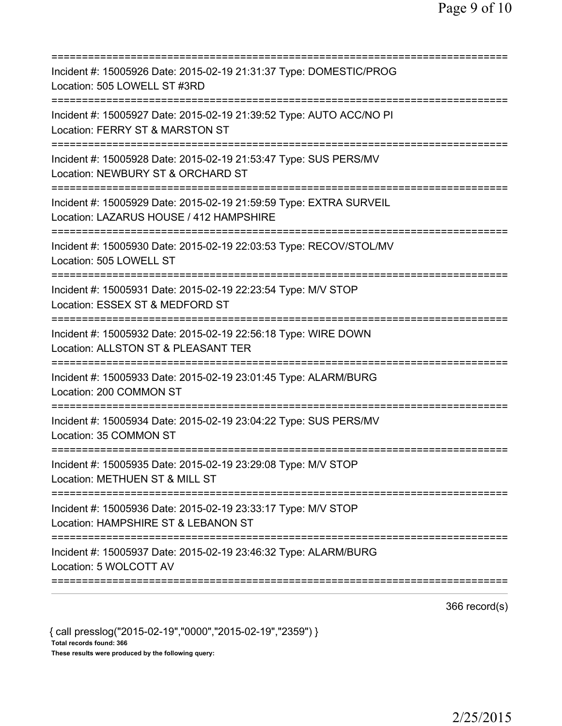| Incident #: 15005926 Date: 2015-02-19 21:31:37 Type: DOMESTIC/PROG<br>Location: 505 LOWELL ST #3RD<br>===================                 |
|-------------------------------------------------------------------------------------------------------------------------------------------|
| Incident #: 15005927 Date: 2015-02-19 21:39:52 Type: AUTO ACC/NO PI<br>Location: FERRY ST & MARSTON ST                                    |
| Incident #: 15005928 Date: 2015-02-19 21:53:47 Type: SUS PERS/MV<br>Location: NEWBURY ST & ORCHARD ST                                     |
| Incident #: 15005929 Date: 2015-02-19 21:59:59 Type: EXTRA SURVEIL<br>Location: LAZARUS HOUSE / 412 HAMPSHIRE                             |
| Incident #: 15005930 Date: 2015-02-19 22:03:53 Type: RECOV/STOL/MV<br>Location: 505 LOWELL ST                                             |
| Incident #: 15005931 Date: 2015-02-19 22:23:54 Type: M/V STOP<br>Location: ESSEX ST & MEDFORD ST                                          |
| Incident #: 15005932 Date: 2015-02-19 22:56:18 Type: WIRE DOWN<br>Location: ALLSTON ST & PLEASANT TER<br>:=============================== |
| Incident #: 15005933 Date: 2015-02-19 23:01:45 Type: ALARM/BURG<br>Location: 200 COMMON ST                                                |
| :===============<br>Incident #: 15005934 Date: 2015-02-19 23:04:22 Type: SUS PERS/MV<br>Location: 35 COMMON ST                            |
| Incident #: 15005935 Date: 2015-02-19 23:29:08 Type: M/V STOP<br>Location: METHUEN ST & MILL ST                                           |
| Incident #: 15005936 Date: 2015-02-19 23:33:17 Type: M/V STOP<br>Location: HAMPSHIRE ST & LEBANON ST                                      |
| Incident #: 15005937 Date: 2015-02-19 23:46:32 Type: ALARM/BURG<br>Location: 5 WOLCOTT AV                                                 |
|                                                                                                                                           |

366 record(s)

{ call presslog("2015-02-19","0000","2015-02-19","2359") } Total records found: 366 These results were produced by the following query: